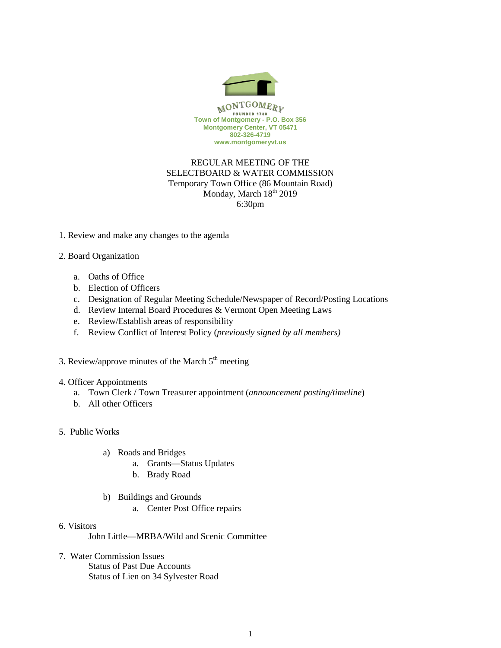

# REGULAR MEETING OF THE SELECTBOARD & WATER COMMISSION Temporary Town Office (86 Mountain Road) Monday, March 18<sup>th</sup> 2019 6:30pm

- 1. Review and make any changes to the agenda
- 2. Board Organization
	- a. Oaths of Office
	- b. Election of Officers
	- c. Designation of Regular Meeting Schedule/Newspaper of Record/Posting Locations
	- d. Review Internal Board Procedures & Vermont Open Meeting Laws
	- e. Review/Establish areas of responsibility
	- f. Review Conflict of Interest Policy (*previously signed by all members)*
- 3. Review/approve minutes of the March  $5<sup>th</sup>$  meeting

### 4. Officer Appointments

- a. Town Clerk / Town Treasurer appointment (*announcement posting/timeline*)
- b. All other Officers
- 5. Public Works
	- a) Roads and Bridges
		- a. Grants—Status Updates
		- b. Brady Road
	- b) Buildings and Grounds
		- a. Center Post Office repairs
- 6. Visitors
	- John Little—MRBA/Wild and Scenic Committee
- 7. Water Commission Issues Status of Past Due Accounts Status of Lien on 34 Sylvester Road